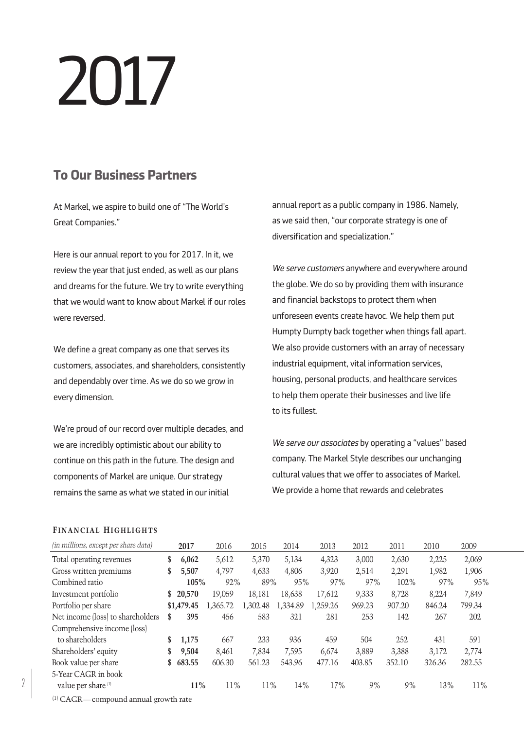# 2017

# **To Our Business Partners**

At Markel, we aspire to build one of "The World's Great Companies."

Here is our annual report to you for 2017. In it, we review the year that just ended, as well as our plans and dreams for the future. We try to write everything that we would want to know about Markel if our roles were reversed.

We define a great company as one that serves its customers, associates, and shareholders, consistently and dependably over time. As we do so we grow in every dimension.

We're proud of our record over multiple decades, and we are incredibly optimistic about our ability to continue on this path in the future. The design and components of Markel are unique. Our strategy remains the same as what we stated in our initial

annual report as a public company in 1986. Namely, as we said then, "our corporate strategy is one of diversification and specialization."

*We serve customers* anywhere and everywhere around the globe. We do so by providing them with insurance and financial backstops to protect them when unforeseen events create havoc. We help them put Humpty Dumpty back together when things fall apart. We also provide customers with an array of necessary industrial equipment, vital information services, housing, personal products, and healthcare services to help them operate their businesses and live life to its fullest.

*We serve our associates* by operating a "values" based company. The Markel Style describes our unchanging cultural values that we offer to associates of Markel. We provide a home that rewards and celebrates

### **FINANCIAL HIGHLIGHTS**

| (in millions, except per share data) |    | 2017       | 2016     | 2015     | 2014     | 2013     | 2012   | 2011   | 2010   | 2009   |
|--------------------------------------|----|------------|----------|----------|----------|----------|--------|--------|--------|--------|
| Total operating revenues             | \$ | 6,062      | 5,612    | 5,370    | 5,134    | 4,323    | 3,000  | 2,630  | 2,225  | 2,069  |
| Gross written premiums               | \$ | 5,507      | 4,797    | 4,633    | 4,806    | 3,920    | 2,514  | 2,291  | 1,982  | 1,906  |
| Combined ratio                       |    | 105%       | 92%      | 89%      | 95%      | 97%      | 97%    | 102%   | 97%    | 95%    |
| Investment portfolio                 | S. | 20,570     | 19.059   | 18,181   | 18,638   | 17,612   | 9,333  | 8,728  | 8,224  | 7,849  |
| Portfolio per share                  |    | \$1.479.45 | 1,365.72 | 1,302.48 | 1,334.89 | 1.259.26 | 969.23 | 907.20 | 846.24 | 799.34 |
| Net income (loss) to shareholders    | S  | 395        | 456      | 583      | 321      | 281      | 253    | 142    | 267    | 202    |
| Comprehensive income (loss)          |    |            |          |          |          |          |        |        |        |        |
| to shareholders                      | S  | 1,175      | 667      | 233      | 936      | 459      | 504    | 252    | 431    | 591    |
| Shareholders' equity                 | \$ | 9,504      | 8.461    | 7.834    | 7,595    | 6.674    | 3.889  | 3.388  | 3.172  | 2,774  |
| Book value per share                 | \$ | 683.55     | 606.30   | 561.23   | 543.96   | 477.16   | 403.85 | 352.10 | 326.36 | 282.55 |
| 5-Year CAGR in book                  |    |            |          |          |          |          |        |        |        |        |
| value per share <sup>[1]</sup>       |    | $11\%$     | 11%      | 11%      | 14%      | 17%      | 9%     | 9%     | 13%    | 11%    |

(1) CAGR—compound annual growth rate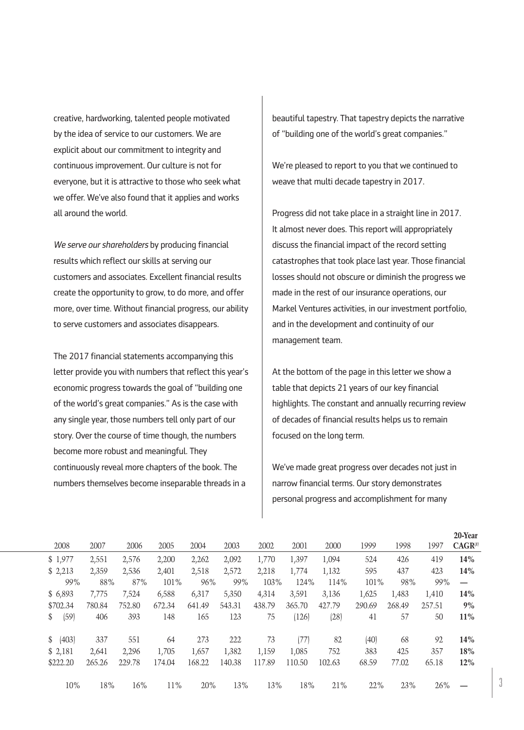creative, hardworking, talented people motivated by the idea of service to our customers. We are explicit about our commitment to integrity and continuous improvement. Our culture is not for everyone, but it is attractive to those who seek what we offer. We've also found that it applies and works all around the world.

*We serve our shareholders* by producing financial results which reflect our skills at serving our customers and associates. Excellent financial results create the opportunity to grow, to do more, and offer more, over time. Without financial progress, our ability to serve customers and associates disappears.

The 2017 financial statements accompanying this letter provide you with numbers that reflect this year's economic progress towards the goal of "building one of the world's great companies." As is the case with any single year, those numbers tell only part of our story. Over the course of time though, the numbers become more robust and meaningful. They continuously reveal more chapters of the book. The numbers themselves become inseparable threads in a

beautiful tapestry. That tapestry depicts the narrative of "building one of the world's great companies."

We're pleased to report to you that we continued to weave that multi decade tapestry in 2017.

Progress did not take place in a straight line in 2017. It almost never does. This report will appropriately discuss the financial impact of the record setting catastrophes that took place last year. Those financial losses should not obscure or diminish the progress we made in the rest of our insurance operations, our Markel Ventures activities, in our investment portfolio, and in the development and continuity of our management team.

At the bottom of the page in this letter we show a table that depicts 21 years of our key financial highlights. The constant and annually recurring review of decades of financial results helps us to remain focused on the long term.

We've made great progress over decades not just in narrow financial terms. Our story demonstrates personal progress and accomplishment for many

|                       |        |        |        |        |        |        |        |        |        |        |        | zo-rear      |
|-----------------------|--------|--------|--------|--------|--------|--------|--------|--------|--------|--------|--------|--------------|
| 2008                  | 2007   | 2006   | 2005   | 2004   | 2003   | 2002   | 2001   | 2000   | 1999   | 1998   | 1997   | $CAGR^{(1)}$ |
| \$1,977               | 2,551  | 2,576  | 2,200  | 2,262  | 2,092  | 1,770  | 1,397  | 1,094  | 524    | 426    | 419    | <b>14%</b>   |
| \$2,213               | 2,359  | 2,536  | 2,401  | 2,518  | 2,572  | 2,218  | 1,774  | 1,132  | 595    | 437    | 423    | <b>14%</b>   |
| 99%                   | 88%    | 87%    | 101%   | 96%    | 99%    | 103%   | 124%   | 114%   | 101%   | 98%    | 99%    |              |
| \$ 6,893              | 7.775  | 7,524  | 6,588  | 6,317  | 5,350  | 4,314  | 3,591  | 3,136  | 1,625  | 1,483  | 1,410  | 14%          |
| \$702.34              | 780.84 | 752.80 | 672.34 | 641.49 | 543.31 | 438.79 | 365.70 | 427.79 | 290.69 | 268.49 | 257.51 | 9%           |
| (59)<br>\$            | 406    | 393    | 148    | 165    | 123    | 75     | (126)  | (28)   | 41     | 57     | 50     | 11%          |
| (403)<br><sup>S</sup> | 337    | 551    | 64     | 273    | 222    | 73     | (77)   | 82     | (40)   | 68     | 92     | <b>14%</b>   |
| \$2,181               | 2.641  | 2.296  | 1,705  | 1,657  | 1,382  | 1.159  | 1.085  | 752    | 383    | 425    | 357    | 18%          |
| \$222.20              | 265.26 | 229.78 | 174.04 | 168.22 | 140.38 | 117.89 | 110.50 | 102.63 | 68.59  | 77.02  | 65.18  | 12%          |
| 10%                   | 18%    | 16%    | 11%    | 20%    | 13%    | 13%    | 18%    | 21%    | 22%    | 23%    | 26%    |              |

**20-Year**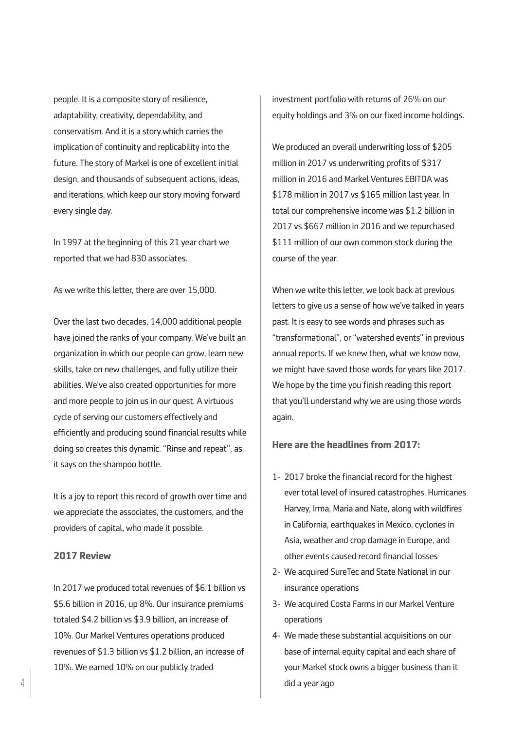people. It is a composite story of resilience, adaptability, creativity, dependability, and conservatism. And it is a story which carries the implication of continuity and replicability into the future. The story of Markel is one of excellent initial design, and thousands of subsequent actions, ideas, and iterations, which keep our story moving forward every single day.

In 1997 at the beginning of this 21 year chart we reported that we had 830 associates.

As we write this letter, there are over 15,000.

Over the last two decades, 14,000 additional people have joined the ranks of your company. We've built an organization in which our people can grow, learn new skills, take on new challenges, and fully utilize their abilities. We've also created opportunities for more and more people to join us in our quest. A virtuous cycle of serving our customers effectively and efficiently and producing sound financial results while doing so creates this dynamic. "Rinse and repeat", as it says on the shampoo bottle.

It is a joy to report this record of growth over time and we appreciate the associates, the customers, and the providers of capital, who made it possible.

# **2017 Review**

In 2017 we produced total revenues of \$6.1 billion vs \$5.6 billion in 2016, up 8%. Our insurance premiums totaled \$4.2 billion vs \$3.9 billion, an increase of 10%. Our Markel Ventures operations produced revenues of \$1.3 billion vs \$1.2 billion, an increase of 10%. We earned 10% on our publicly traded

investment portfolio with returns of 26% on our equity holdings and 3% on our fixed income holdings.

We produced an overall underwriting loss of \$205 million in 2017 vs underwriting profits of \$317 million in 2016 and Markel Ventures EBITDA was \$178 million in 2017 vs \$165 million last year. In total our comprehensive income was \$1.2 billion in 2017 vs \$667 million in 2016 and we repurchased \$111 million of our own common stock during the course of the year.

When we write this letter, we look back at previous letters to give us a sense of how we've talked in years past. It is easy to see words and phrases such as "transformational", or "watershed events" in previous annual reports. If we knew then, what we know now, we might have saved those words for years like 2017. We hope by the time you finish reading this report that you'll understand why we are using those words again.

#### **Here are the headlines from 2017:**

- 1- 2017 broke the financial record for the highest ever total level of insured catastrophes. Hurricanes Harvey, Irma, Maria and Nate, along with wildfires in California, earthquakes in Mexico, cyclones in Asia, weather and crop damage in Europe, and other events caused record financial losses
- 2- We acquired SureTec and State National in our insurance operations
- 3- We acquired Costa Farms in our Markel Venture operations
- 4- We made these substantial acquisitions on our base of internal equity capital and each share of your Markel stock owns a bigger business than it did a year ago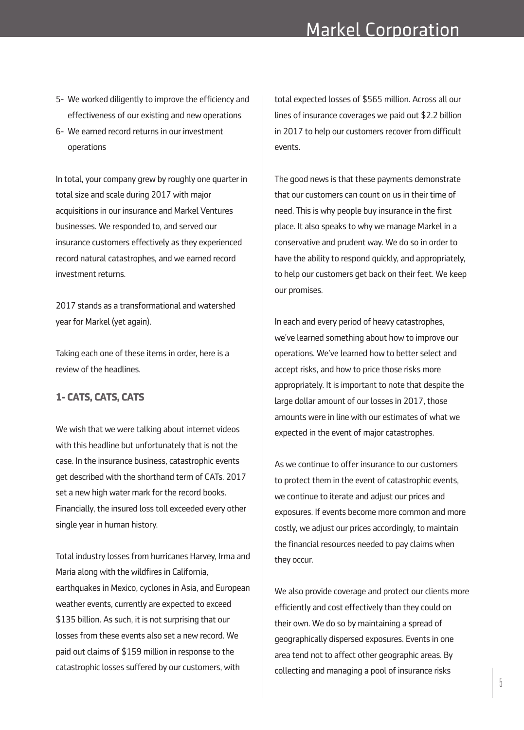- 5- We worked diligently to improve the efficiency and effectiveness of our existing and new operations
- 6- We earned record returns in our investment operations

In total, your company grew by roughly one quarter in total size and scale during 2017 with major acquisitions in our insurance and Markel Ventures businesses. We responded to, and served our insurance customers effectively as they experienced record natural catastrophes, and we earned record investment returns.

2017 stands as a transformational and watershed year for Markel (yet again).

Taking each one of these items in order, here is a review of the headlines.

# **1- CATS, CATS, CATS**

We wish that we were talking about internet videos with this headline but unfortunately that is not the case. In the insurance business, catastrophic events get described with the shorthand term of CATs. 2017 set a new high water mark for the record books. Financially, the insured loss toll exceeded every other single year in human history.

Total industry losses from hurricanes Harvey, Irma and Maria along with the wildfires in California, earthquakes in Mexico, cyclones in Asia, and European weather events, currently are expected to exceed \$135 billion. As such, it is not surprising that our losses from these events also set a new record. We paid out claims of \$159 million in response to the catastrophic losses suffered by our customers, with

total expected losses of \$565 million. Across all our lines of insurance coverages we paid out \$2.2 billion in 2017 to help our customers recover from difficult events.

The good news is that these payments demonstrate that our customers can count on us in their time of need. This is why people buy insurance in the first place. It also speaks to why we manage Markel in a conservative and prudent way. We do so in order to have the ability to respond quickly, and appropriately, to help our customers get back on their feet. We keep our promises.

In each and every period of heavy catastrophes, we've learned something about how to improve our operations. We've learned how to better select and accept risks, and how to price those risks more appropriately. It is important to note that despite the large dollar amount of our losses in 2017, those amounts were in line with our estimates of what we expected in the event of major catastrophes.

As we continue to offer insurance to our customers to protect them in the event of catastrophic events, we continue to iterate and adjust our prices and exposures. If events become more common and more costly, we adjust our prices accordingly, to maintain the financial resources needed to pay claims when they occur.

We also provide coverage and protect our clients more efficiently and cost effectively than they could on their own. We do so by maintaining a spread of geographically dispersed exposures. Events in one area tend not to affect other geographic areas. By collecting and managing a pool of insurance risks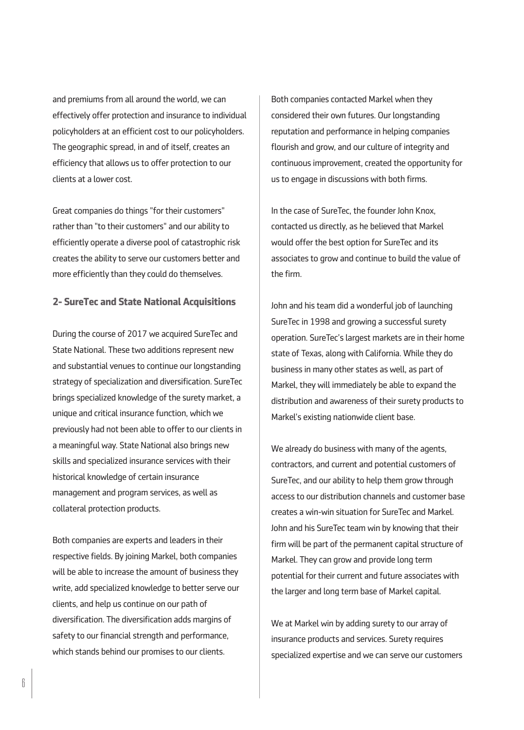and premiums from all around the world, we can effectively offer protection and insurance to individual policyholders at an efficient cost to our policyholders. The geographic spread, in and of itself, creates an efficiency that allows us to offer protection to our clients at a lower cost.

Great companies do things "for their customers" rather than "to their customers" and our ability to efficiently operate a diverse pool of catastrophic risk creates the ability to serve our customers better and more efficiently than they could do themselves.

# **2- SureTec and State National Acquisitions**

During the course of 2017 we acquired SureTec and State National. These two additions represent new and substantial venues to continue our longstanding strategy of specialization and diversification. SureTec brings specialized knowledge of the surety market, a unique and critical insurance function, which we previously had not been able to offer to our clients in a meaningful way. State National also brings new skills and specialized insurance services with their historical knowledge of certain insurance management and program services, as well as collateral protection products.

Both companies are experts and leaders in their respective fields. By joining Markel, both companies will be able to increase the amount of business they write, add specialized knowledge to better serve our clients, and help us continue on our path of diversification. The diversification adds margins of safety to our financial strength and performance, which stands behind our promises to our clients.

Both companies contacted Markel when they considered their own futures. Our longstanding reputation and performance in helping companies flourish and grow, and our culture of integrity and continuous improvement, created the opportunity for us to engage in discussions with both firms.

In the case of SureTec, the founder John Knox, contacted us directly, as he believed that Markel would offer the best option for SureTec and its associates to grow and continue to build the value of the firm.

John and his team did a wonderful job of launching SureTec in 1998 and growing a successful surety operation. SureTec's largest markets are in their home state of Texas, along with California. While they do business in many other states as well, as part of Markel, they will immediately be able to expand the distribution and awareness of their surety products to Markel's existing nationwide client base.

We already do business with many of the agents, contractors, and current and potential customers of SureTec, and our ability to help them grow through access to our distribution channels and customer base creates a win-win situation for SureTec and Markel. John and his SureTec team win by knowing that their firm will be part of the permanent capital structure of Markel. They can grow and provide long term potential for their current and future associates with the larger and long term base of Markel capital.

We at Markel win by adding surety to our array of insurance products and services. Surety requires specialized expertise and we can serve our customers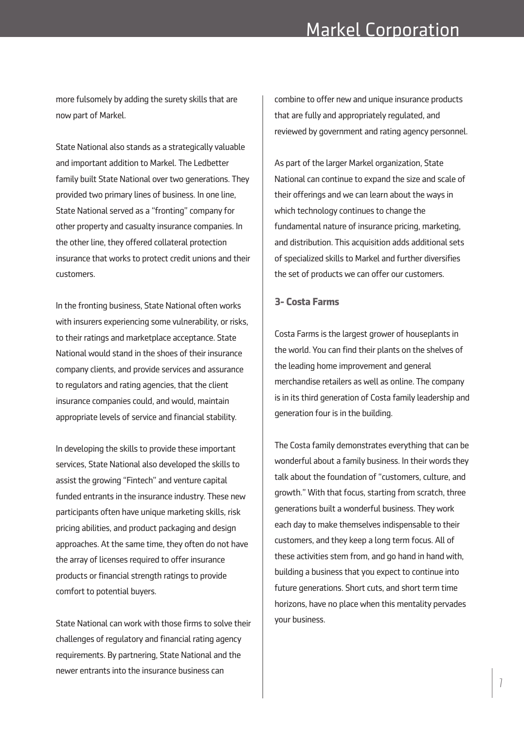more fulsomely by adding the surety skills that are now part of Markel.

State National also stands as a strategically valuable and important addition to Markel. The Ledbetter family built State National over two generations. They provided two primary lines of business. In one line, State National served as a "fronting" company for other property and casualty insurance companies. In the other line, they offered collateral protection insurance that works to protect credit unions and their customers.

In the fronting business, State National often works with insurers experiencing some vulnerability, or risks, to their ratings and marketplace acceptance. State National would stand in the shoes of their insurance company clients, and provide services and assurance to regulators and rating agencies, that the client insurance companies could, and would, maintain appropriate levels of service and financial stability.

In developing the skills to provide these important services, State National also developed the skills to assist the growing "Fintech" and venture capital funded entrants in the insurance industry. These new participants often have unique marketing skills, risk pricing abilities, and product packaging and design approaches. At the same time, they often do not have the array of licenses required to offer insurance products or financial strength ratings to provide comfort to potential buyers.

State National can work with those firms to solve their challenges of regulatory and financial rating agency requirements. By partnering, State National and the newer entrants into the insurance business can

combine to offer new and unique insurance products that are fully and appropriately regulated, and reviewed by government and rating agency personnel.

As part of the larger Markel organization, State National can continue to expand the size and scale of their offerings and we can learn about the ways in which technology continues to change the fundamental nature of insurance pricing, marketing, and distribution. This acquisition adds additional sets of specialized skills to Markel and further diversifies the set of products we can offer our customers.

# **3- Costa Farms**

Costa Farms is the largest grower of houseplants in the world. You can find their plants on the shelves of the leading home improvement and general merchandise retailers as well as online. The company is in its third generation of Costa family leadership and generation four is in the building.

The Costa family demonstrates everything that can be wonderful about a family business. In their words they talk about the foundation of "customers, culture, and growth." With that focus, starting from scratch, three generations built a wonderful business. They work each day to make themselves indispensable to their customers, and they keep a long term focus. All of these activities stem from, and go hand in hand with, building a business that you expect to continue into future generations. Short cuts, and short term time horizons, have no place when this mentality pervades your business.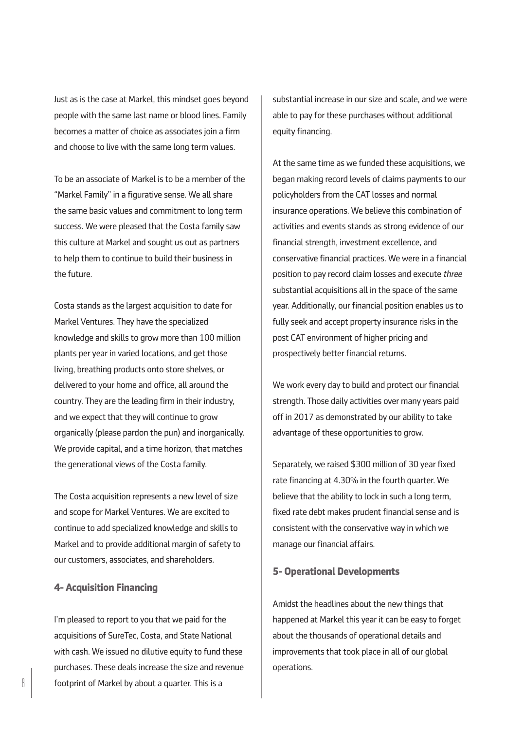Just as is the case at Markel, this mindset goes beyond people with the same last name or blood lines. Family becomes a matter of choice as associates join a firm and choose to live with the same long term values.

To be an associate of Markel is to be a member of the "Markel Family" in a figurative sense. We all share the same basic values and commitment to long term success. We were pleased that the Costa family saw this culture at Markel and sought us out as partners to help them to continue to build their business in the future.

Costa stands as the largest acquisition to date for Markel Ventures. They have the specialized knowledge and skills to grow more than 100 million plants per year in varied locations, and get those living, breathing products onto store shelves, or delivered to your home and office, all around the country. They are the leading firm in their industry, and we expect that they will continue to grow organically (please pardon the pun) and inorganically. We provide capital, and a time horizon, that matches the generational views of the Costa family.

The Costa acquisition represents a new level of size and scope for Markel Ventures. We are excited to continue to add specialized knowledge and skills to Markel and to provide additional margin of safety to our customers, associates, and shareholders.

# **4- Acquisition Financing**

I'm pleased to report to you that we paid for the acquisitions of SureTec, Costa, and State National with cash. We issued no dilutive equity to fund these purchases. These deals increase the size and revenue  $\left\{ \begin{array}{c} \end{array} \right\}$  footprint of Markel by about a quarter. This is a

substantial increase in our size and scale, and we were able to pay for these purchases without additional equity financing.

At the same time as we funded these acquisitions, we began making record levels of claims payments to our policyholders from the CAT losses and normal insurance operations. We believe this combination of activities and events stands as strong evidence of our financial strength, investment excellence, and conservative financial practices. We were in a financial position to pay record claim losses and execute *three* substantial acquisitions all in the space of the same year. Additionally, our financial position enables us to fully seek and accept property insurance risks in the post CAT environment of higher pricing and prospectively better financial returns.

We work every day to build and protect our financial strength. Those daily activities over many years paid off in 2017 as demonstrated by our ability to take advantage of these opportunities to grow.

Separately, we raised \$300 million of 30 year fixed rate financing at 4.30% in the fourth quarter. We believe that the ability to lock in such a long term, fixed rate debt makes prudent financial sense and is consistent with the conservative way in which we manage our financial affairs.

#### **5- Operational Developments**

Amidst the headlines about the new things that happened at Markel this year it can be easy to forget about the thousands of operational details and improvements that took place in all of our global operations.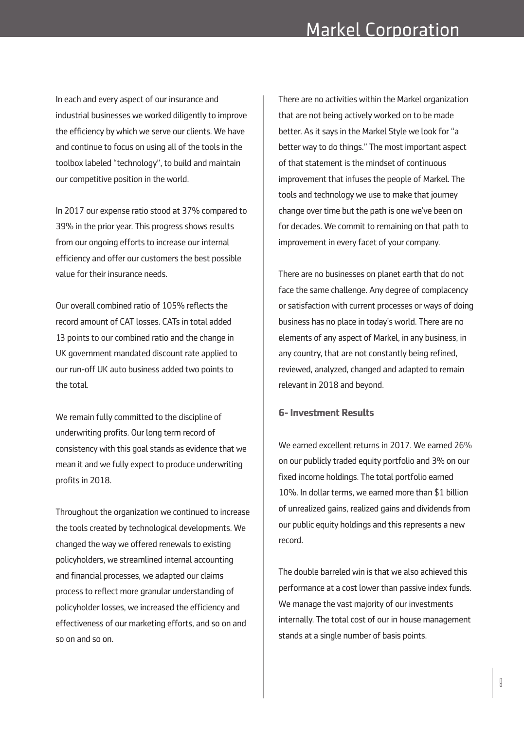In each and every aspect of our insurance and industrial businesses we worked diligently to improve the efficiency by which we serve our clients. We have and continue to focus on using all of the tools in the toolbox labeled "technology", to build and maintain our competitive position in the world.

In 2017 our expense ratio stood at 37% compared to 39% in the prior year. This progress shows results from our ongoing efforts to increase our internal efficiency and offer our customers the best possible value for their insurance needs.

Our overall combined ratio of 105% reflects the record amount of CAT losses. CATs in total added 13 points to our combined ratio and the change in UK government mandated discount rate applied to our run-off UK auto business added two points to the total.

We remain fully committed to the discipline of underwriting profits. Our long term record of consistency with this goal stands as evidence that we mean it and we fully expect to produce underwriting profits in 2018.

Throughout the organization we continued to increase the tools created by technological developments. We changed the way we offered renewals to existing policyholders, we streamlined internal accounting and financial processes, we adapted our claims process to reflect more granular understanding of policyholder losses, we increased the efficiency and effectiveness of our marketing efforts, and so on and so on and so on.

There are no activities within the Markel organization that are not being actively worked on to be made better. As it says in the Markel Style we look for "a better way to do things." The most important aspect of that statement is the mindset of continuous improvement that infuses the people of Markel. The tools and technology we use to make that journey change over time but the path is one we've been on for decades. We commit to remaining on that path to improvement in every facet of your company.

There are no businesses on planet earth that do not face the same challenge. Any degree of complacency or satisfaction with current processes or ways of doing business has no place in today's world. There are no elements of any aspect of Markel, in any business, in any country, that are not constantly being refined, reviewed, analyzed, changed and adapted to remain relevant in 2018 and beyond.

# **6-Investment Results**

We earned excellent returns in 2017. We earned 26% on our publicly traded equity portfolio and 3% on our fixed income holdings. The total portfolio earned 10%. In dollar terms, we earned more than \$1 billion of unrealized gains, realized gains and dividends from our public equity holdings and this represents a new record.

The double barreled win is that we also achieved this performance at a cost lower than passive index funds. We manage the vast majority of our investments internally. The total cost of our in house management stands at a single number of basis points.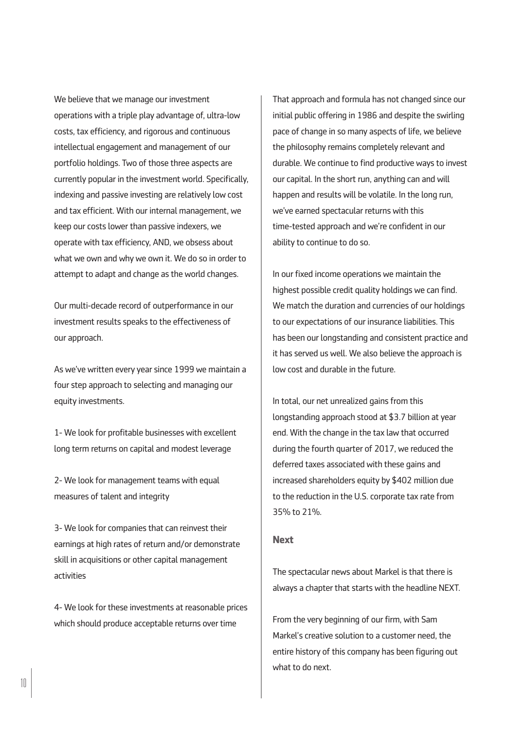We believe that we manage our investment operations with a triple play advantage of, ultra-low costs, tax efficiency, and rigorous and continuous intellectual engagement and management of our portfolio holdings. Two of those three aspects are currently popular in the investment world. Specifically, indexing and passive investing are relatively low cost and tax efficient. With our internal management, we keep our costs lower than passive indexers, we operate with tax efficiency, AND, we obsess about what we own and why we own it. We do so in order to attempt to adapt and change as the world changes.

Our multi-decade record of outperformance in our investment results speaks to the effectiveness of our approach.

As we've written every year since 1999 we maintain a four step approach to selecting and managing our equity investments.

1- We look for profitable businesses with excellent long term returns on capital and modest leverage

2- We look for management teams with equal measures of talent and integrity

3- We look for companies that can reinvest their earnings at high rates of return and/or demonstrate skill in acquisitions or other capital management activities

4- We look for these investments at reasonable prices which should produce acceptable returns over time

That approach and formula has not changed since our initial public offering in 1986 and despite the swirling pace of change in so many aspects of life, we believe the philosophy remains completely relevant and durable. We continue to find productive ways to invest our capital. In the short run, anything can and will happen and results will be volatile. In the long run, we've earned spectacular returns with this time-tested approach and we're confident in our ability to continue to do so.

In our fixed income operations we maintain the highest possible credit quality holdings we can find. We match the duration and currencies of our holdings to our expectations of our insurance liabilities. This has been our longstanding and consistent practice and it has served us well. We also believe the approach is low cost and durable in the future.

In total, our net unrealized gains from this longstanding approach stood at \$3.7 billion at year end. With the change in the tax law that occurred during the fourth quarter of 2017, we reduced the deferred taxes associated with these gains and increased shareholders equity by \$402 million due to the reduction in the U.S. corporate tax rate from 35% to 21%.

### **Next**

The spectacular news about Markel is that there is always a chapter that starts with the headline NEXT.

From the very beginning of our firm, with Sam Markel's creative solution to a customer need, the entire history of this company has been figuring out what to do next.